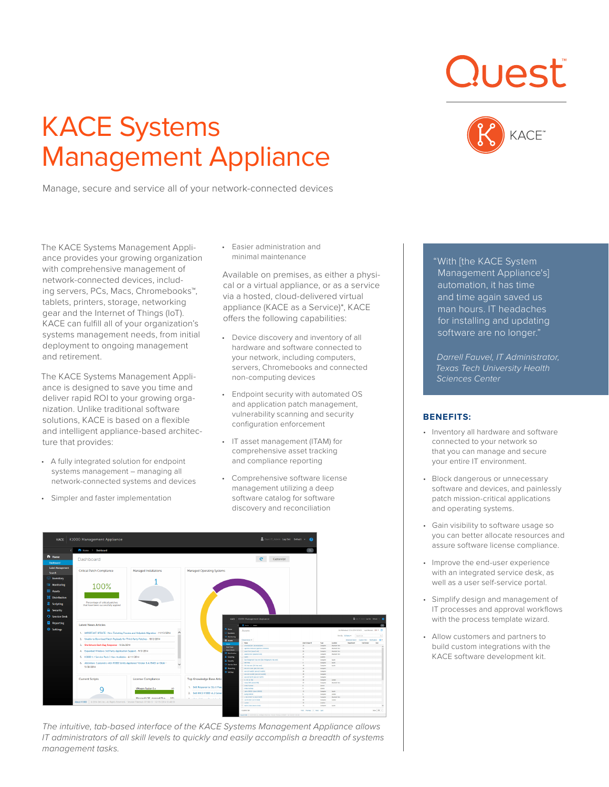# KACE Systems Management Appliance

Manage, secure and service all of your network-connected devices





The KACE Systems Management Appliance provides your growing organization with comprehensive management of network-connected devices, including servers, PCs, Macs, Chromebooks™, tablets, printers, storage, networking gear and the Internet of Things (IoT). KACE can fulfill all of your organization's systems management needs, from initial deployment to ongoing management and retirement.

The KACE Systems Management Appliance is designed to save you time and deliver rapid ROI to your growing organization. Unlike traditional software solutions, KACE is based on a flexible and intelligent appliance-based architecture that provides:

- A fully integrated solution for endpoint systems management – managing all network-connected systems and devices
- Simpler and faster implementation

• Easier administration and minimal maintenance

Available on premises, as either a physical or a virtual appliance, or as a service via a hosted, cloud-delivered virtual appliance (KACE as a Service)\*, KACE offers the following capabilities:

- Device discovery and inventory of all hardware and software connected to your network, including computers, servers, Chromebooks and connected non-computing devices
- Endpoint security with automated OS and application patch management, vulnerability scanning and security configuration enforcement
- IT asset management (ITAM) for comprehensive asset tracking and compliance reporting
- Comprehensive software license management utilizing a deep software catalog for software discovery and reconciliation



*The intuitive, tab-based interface of the KACE Systems Management Appliance allows IT administrators of all skill levels to quickly and easily accomplish a breadth of systems management tasks.*

"With [the KACE System Management Appliance's] automation, it has time and time again saved us man hours. IT headaches for installing and updating software are no longer."

*Darrell Fauvel, IT Administrator, Texas Tech University Health Sciences Center*

## **BENEFITS:**

- Inventory all hardware and software connected to your network so that you can manage and secure your entire IT environment.
- Block dangerous or unnecessary software and devices, and painlessly patch mission-critical applications and operating systems.
- Gain visibility to software usage so you can better allocate resources and assure software license compliance.
- Improve the end-user experience with an integrated service desk, as well as a user self-service portal.
- Simplify design and management of IT processes and approval workflows with the process template wizard.
- Allow customers and partners to build custom integrations with the KACE software development kit.